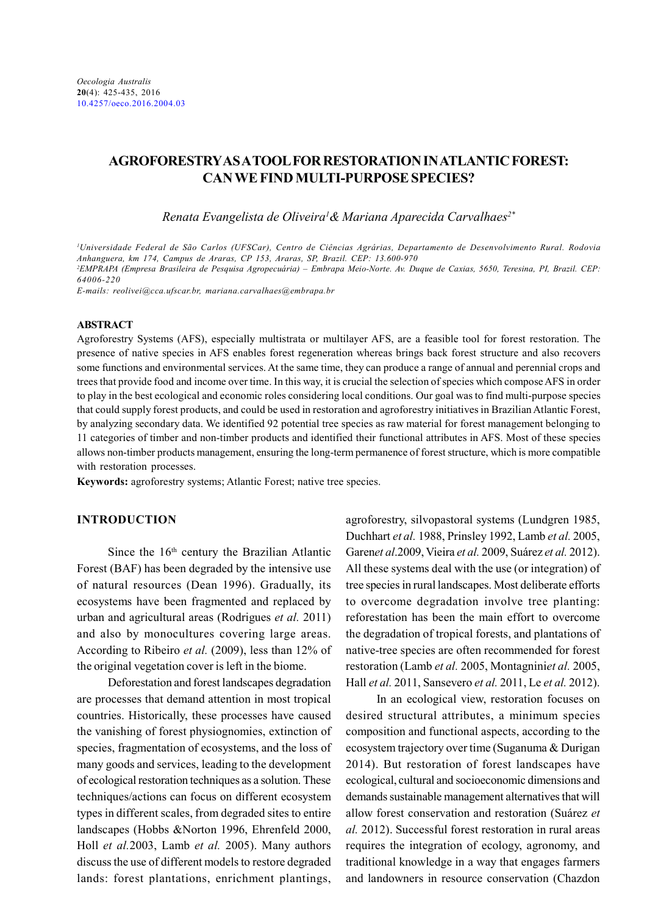# AGROFORESTRY AS A TOOL FOR RESTORATION IN ATLANTIC FOREST: CAN WE FIND MULTI-PURPOSE SPECIES?

Renata Evangelista de Oliveira<sup>1</sup>& Mariana Aparecida Carvalhaes<sup>2\*</sup>

<sup>1</sup>Universidade Federal de São Carlos (UFSCar), Centro de Ciências Agrárias, Departamento de Desenvolvimento Rural. Rodovia Anhanguera, km 174, Campus de Araras, CP 153, Araras, SP, Brazil. CEP: 13.600-970 <sup>2</sup>EMPRAPA (Empresa Brasileira de Pesquisa Agropecuária) – Embrapa Meio-Norte. Av. Duque de Caxias, 5650, Teresina, PI, Brazil. CEP: 64006-220

E-mails: reolivei@cca.ufscar.br, mariana.carvalhaes@embrapa.br

#### ABSTRACT

Agroforestry Systems (AFS), especially multistrata or multilayer AFS, are a feasible tool for forest restoration. The presence of native species in AFS enables forest regeneration whereas brings back forest structure and also recovers some functions and environmental services. At the same time, they can produce a range of annual and perennial crops and trees that provide food and income over time. In this way, it is crucial the selection of species which compose AFS in order to play in the best ecological and economic roles considering local conditions. Our goal was to find multi-purpose species that could supply forest products, and could be used in restoration and agroforestry initiatives in Brazilian Atlantic Forest, by analyzing secondary data. We identified 92 potential tree species as raw material for forest management belonging to 11 categories of timber and non-timber products and identified their functional attributes in AFS. Most of these species allows non-timber products management, ensuring the long-term permanence of forest structure, which is more compatible with restoration processes.

Keywords: agroforestry systems; Atlantic Forest; native tree species.

# INTRODUCTION

Since the 16<sup>th</sup> century the Brazilian Atlantic Forest (BAF) has been degraded by the intensive use of natural resources (Dean 1996). Gradually, its ecosystems have been fragmented and replaced by urban and agricultural areas (Rodrigues et al. 2011) and also by monocultures covering large areas. According to Ribeiro et al. (2009), less than 12% of the original vegetation cover is left in the biome.

Deforestation and forest landscapes degradation are processes that demand attention in most tropical countries. Historically, these processes have caused the vanishing of forest physiognomies, extinction of species, fragmentation of ecosystems, and the loss of many goods and services, leading to the development of ecological restoration techniques as a solution. These techniques/actions can focus on different ecosystem types in different scales, from degraded sites to entire landscapes (Hobbs &Norton 1996, Ehrenfeld 2000, Holl et al.2003, Lamb et al. 2005). Many authors discuss the use of different models to restore degraded lands: forest plantations, enrichment plantings,

agroforestry, silvopastoral systems (Lundgren 1985, Duchhart et al. 1988, Prinsley 1992, Lamb et al. 2005, Garenet al.2009, Vieira et al. 2009, Suárez et al. 2012). All these systems deal with the use (or integration) of tree species in rural landscapes. Most deliberate efforts to overcome degradation involve tree planting: reforestation has been the main effort to overcome the degradation of tropical forests, and plantations of native-tree species are often recommended for forest restoration (Lamb et al. 2005, Montagniniet al. 2005, Hall et al. 2011, Sansevero et al. 2011, Le et al. 2012).

In an ecological view, restoration focuses on desired structural attributes, a minimum species composition and functional aspects, according to the ecosystem trajectory over time (Suganuma & Durigan 2014). But restoration of forest landscapes have ecological, cultural and socioeconomic dimensions and demands sustainable management alternatives that will allow forest conservation and restoration (Suárez et al. 2012). Successful forest restoration in rural areas requires the integration of ecology, agronomy, and traditional knowledge in a way that engages farmers and landowners in resource conservation (Chazdon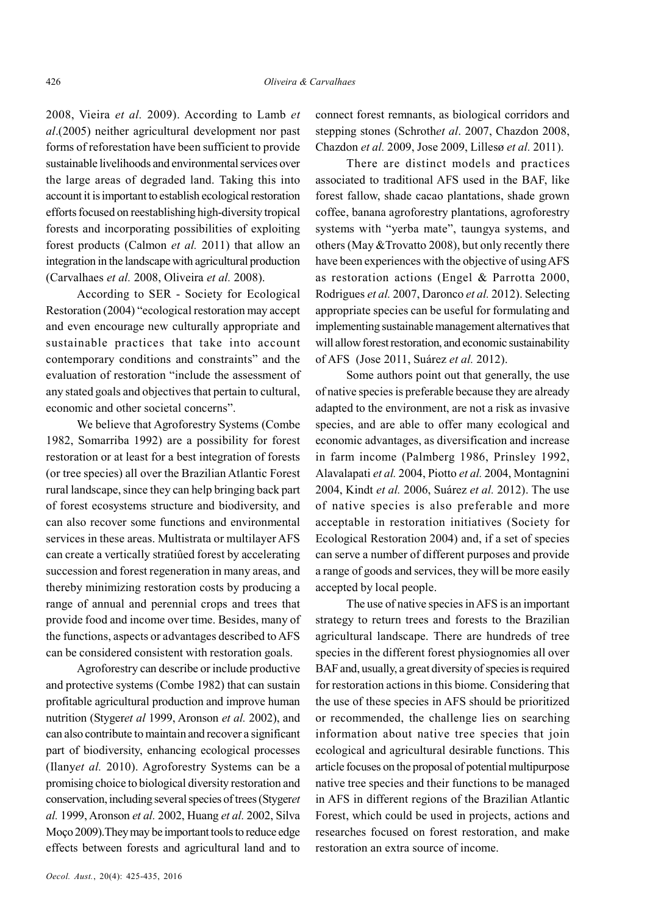2008, Vieira et al. 2009). According to Lamb et al.(2005) neither agricultural development nor past forms of reforestation have been sufficient to provide sustainable livelihoods and environmental services over the large areas of degraded land. Taking this into account it is important to establish ecological restoration efforts focused on reestablishing high-diversity tropical forests and incorporating possibilities of exploiting forest products (Calmon et al. 2011) that allow an integration in the landscape with agricultural production (Carvalhaes et al. 2008, Oliveira et al. 2008).

According to SER - Society for Ecological Restoration (2004) "ecological restoration may accept and even encourage new culturally appropriate and sustainable practices that take into account contemporary conditions and constraints" and the evaluation of restoration "include the assessment of any stated goals and objectives that pertain to cultural, economic and other societal concerns".

We believe that Agroforestry Systems (Combe 1982, Somarriba 1992) are a possibility for forest restoration or at least for a best integration of forests (or tree species) all over the Brazilian Atlantic Forest rural landscape, since they can help bringing back part of forest ecosystems structure and biodiversity, and can also recover some functions and environmental services in these areas. Multistrata or multilayer AFS can create a vertically stratiûed forest by accelerating succession and forest regeneration in many areas, and thereby minimizing restoration costs by producing a range of annual and perennial crops and trees that provide food and income over time. Besides, many of the functions, aspects or advantages described to AFS can be considered consistent with restoration goals.

Agroforestry can describe or include productive and protective systems (Combe 1982) that can sustain profitable agricultural production and improve human nutrition (Stygeret al 1999, Aronson et al. 2002), and can also contribute to maintain and recover a significant part of biodiversity, enhancing ecological processes (Ilanyet al. 2010). Agroforestry Systems can be a promising choice to biological diversity restoration and conservation, including several species of trees (Stygeret al. 1999, Aronson et al. 2002, Huang et al. 2002, Silva Moço 2009).They may be important tools to reduce edge effects between forests and agricultural land and to

connect forest remnants, as biological corridors and stepping stones (Schrothet al. 2007, Chazdon 2008, Chazdon et al. 2009, Jose 2009, Lillesø et al. 2011).

There are distinct models and practices associated to traditional AFS used in the BAF, like forest fallow, shade cacao plantations, shade grown coffee, banana agroforestry plantations, agroforestry systems with "yerba mate", taungya systems, and others (May &Trovatto 2008), but only recently there have been experiences with the objective of using AFS as restoration actions (Engel & Parrotta 2000, Rodrigues et al. 2007, Daronco et al. 2012). Selecting appropriate species can be useful for formulating and implementing sustainable management alternatives that will allow forest restoration, and economic sustainability of AFS (Jose 2011, Suárez et al. 2012).

Some authors point out that generally, the use of native species is preferable because they are already adapted to the environment, are not a risk as invasive species, and are able to offer many ecological and economic advantages, as diversification and increase in farm income (Palmberg 1986, Prinsley 1992, Alavalapati et al. 2004, Piotto et al. 2004, Montagnini 2004, Kindt et al. 2006, Suárez et al. 2012). The use of native species is also preferable and more acceptable in restoration initiatives (Society for Ecological Restoration 2004) and, if a set of species can serve a number of different purposes and provide a range of goods and services, they will be more easily accepted by local people.

The use of native species in AFS is an important strategy to return trees and forests to the Brazilian agricultural landscape. There are hundreds of tree species in the different forest physiognomies all over BAF and, usually, a great diversity of species is required for restoration actions in this biome. Considering that the use of these species in AFS should be prioritized or recommended, the challenge lies on searching information about native tree species that join ecological and agricultural desirable functions. This article focuses on the proposal of potential multipurpose native tree species and their functions to be managed in AFS in different regions of the Brazilian Atlantic Forest, which could be used in projects, actions and researches focused on forest restoration, and make restoration an extra source of income.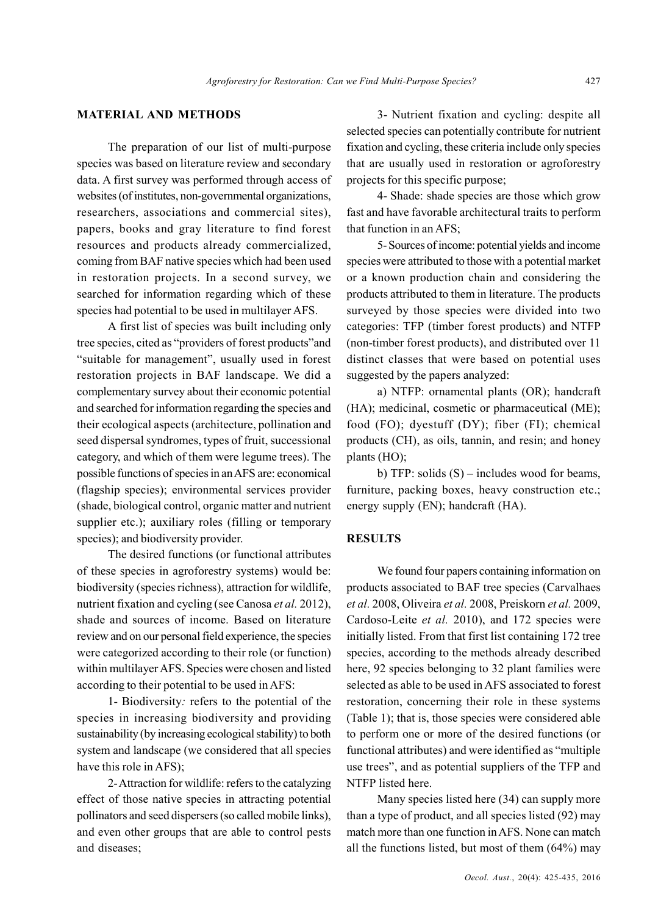# MATERIAL AND METHODS

The preparation of our list of multi-purpose species was based on literature review and secondary data. A first survey was performed through access of websites (of institutes, non-governmental organizations, researchers, associations and commercial sites), papers, books and gray literature to find forest resources and products already commercialized, coming from BAF native species which had been used in restoration projects. In a second survey, we searched for information regarding which of these species had potential to be used in multilayer AFS.

A first list of species was built including only tree species, cited as "providers of forest products"and "suitable for management", usually used in forest restoration projects in BAF landscape. We did a complementary survey about their economic potential and searched for information regarding the species and their ecological aspects (architecture, pollination and seed dispersal syndromes, types of fruit, successional category, and which of them were legume trees). The possible functions of species in an AFS are: economical (flagship species); environmental services provider (shade, biological control, organic matter and nutrient supplier etc.); auxiliary roles (filling or temporary species); and biodiversity provider.

The desired functions (or functional attributes of these species in agroforestry systems) would be: biodiversity (species richness), attraction for wildlife, nutrient fixation and cycling (see Canosa et al. 2012), shade and sources of income. Based on literature review and on our personal field experience, the species were categorized according to their role (or function) within multilayer AFS. Species were chosen and listed according to their potential to be used in AFS:

1- Biodiversity: refers to the potential of the species in increasing biodiversity and providing sustainability (by increasing ecological stability) to both system and landscape (we considered that all species have this role in AFS);

2- Attraction for wildlife: refers to the catalyzing effect of those native species in attracting potential pollinators and seed dispersers (so called mobile links), and even other groups that are able to control pests and diseases;

3- Nutrient fixation and cycling: despite all selected species can potentially contribute for nutrient fixation and cycling, these criteria include only species that are usually used in restoration or agroforestry projects for this specific purpose;

4- Shade: shade species are those which grow fast and have favorable architectural traits to perform that function in an AFS;

5- Sources of income: potential yields and income species were attributed to those with a potential market or a known production chain and considering the products attributed to them in literature. The products surveyed by those species were divided into two categories: TFP (timber forest products) and NTFP (non-timber forest products), and distributed over 11 distinct classes that were based on potential uses suggested by the papers analyzed:

a) NTFP: ornamental plants (OR); handcraft (HA); medicinal, cosmetic or pharmaceutical (ME); food (FO); dyestuff (DY); fiber (FI); chemical products (CH), as oils, tannin, and resin; and honey plants (HO);

b) TFP: solids (S) – includes wood for beams, furniture, packing boxes, heavy construction etc.; energy supply (EN); handcraft (HA).

#### RESULTS

We found four papers containing information on products associated to BAF tree species (Carvalhaes et al. 2008, Oliveira et al. 2008, Preiskorn et al. 2009, Cardoso-Leite et al. 2010), and 172 species were initially listed. From that first list containing 172 tree species, according to the methods already described here, 92 species belonging to 32 plant families were selected as able to be used in AFS associated to forest restoration, concerning their role in these systems (Table 1); that is, those species were considered able to perform one or more of the desired functions (or functional attributes) and were identified as "multiple use trees", and as potential suppliers of the TFP and NTFP listed here.

Many species listed here (34) can supply more than a type of product, and all species listed (92) may match more than one function in AFS. None can match all the functions listed, but most of them (64%) may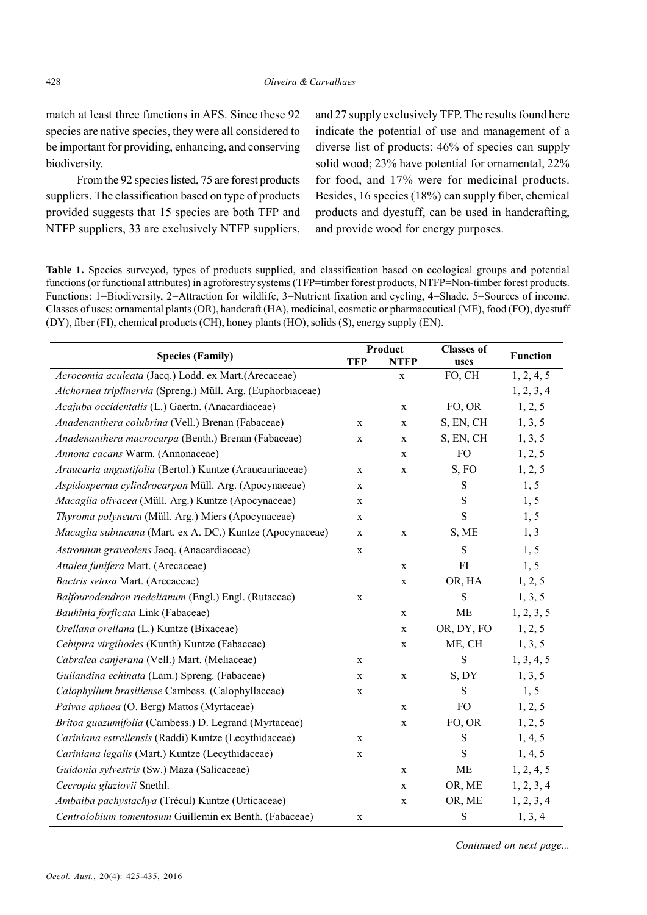match at least three functions in AFS. Since these 92 species are native species, they were all considered to be important for providing, enhancing, and conserving biodiversity.

From the 92 species listed, 75 are forest products suppliers. The classification based on type of products provided suggests that 15 species are both TFP and NTFP suppliers, 33 are exclusively NTFP suppliers, and 27 supply exclusively TFP. The results found here indicate the potential of use and management of a diverse list of products: 46% of species can supply solid wood; 23% have potential for ornamental, 22% for food, and 17% were for medicinal products. Besides, 16 species (18%) can supply fiber, chemical products and dyestuff, can be used in handcrafting, and provide wood for energy purposes.

Table 1. Species surveyed, types of products supplied, and classification based on ecological groups and potential functions (or functional attributes) in agroforestry systems (TFP=timber forest products, NTFP=Non-timber forest products. Functions: 1=Biodiversity, 2=Attraction for wildlife, 3=Nutrient fixation and cycling, 4=Shade, 5=Sources of income. Classes of uses: ornamental plants (OR), handcraft (HA), medicinal, cosmetic or pharmaceutical (ME), food (FO), dyestuff (DY), fiber (FI), chemical products (CH), honey plants (HO), solids (S), energy supply (EN).

| <b>Species (Family)</b>                                     | Product      |             | <b>Classes of</b> |                 |
|-------------------------------------------------------------|--------------|-------------|-------------------|-----------------|
|                                                             | <b>TFP</b>   | <b>NTFP</b> | uses              | <b>Function</b> |
| Acrocomia aculeata (Jacq.) Lodd. ex Mart.(Arecaceae)        |              | X           | FO, CH            | 1, 2, 4, 5      |
| Alchornea triplinervia (Spreng.) Müll. Arg. (Euphorbiaceae) |              |             |                   | 1, 2, 3, 4      |
| Acajuba occidentalis (L.) Gaertn. (Anacardiaceae)           |              | $\mathbf X$ | FO, OR            | 1, 2, 5         |
| Anadenanthera colubrina (Vell.) Brenan (Fabaceae)           | $\mathbf X$  | $\mathbf X$ | S, EN, CH         | 1, 3, 5         |
| Anadenanthera macrocarpa (Benth.) Brenan (Fabaceae)         | $\mathbf X$  | $\mathbf X$ | S, EN, CH         | 1, 3, 5         |
| Annona cacans Warm. (Annonaceae)                            |              | $\mathbf X$ | FO                | 1, 2, 5         |
| Araucaria angustifolia (Bertol.) Kuntze (Araucauriaceae)    | $\mathbf X$  | $\mathbf X$ | S, FO             | 1, 2, 5         |
| Aspidosperma cylindrocarpon Müll. Arg. (Apocynaceae)        | $\mathbf X$  |             | $\mathbf S$       | 1, 5            |
| Macaglia olivacea (Müll. Arg.) Kuntze (Apocynaceae)         | $\mathbf{X}$ |             | S                 | 1, 5            |
| Thyroma polyneura (Müll. Arg.) Miers (Apocynaceae)          | $\mathbf{X}$ |             | S                 | 1, 5            |
| Macaglia subincana (Mart. ex A. DC.) Kuntze (Apocynaceae)   | $\mathbf X$  | $\mathbf X$ | S, ME             | 1, 3            |
| Astronium graveolens Jacq. (Anacardiaceae)                  | $\mathbf X$  |             | S                 | 1, 5            |
| Attalea funifera Mart. (Arecaceae)                          |              | $\mathbf X$ | FI                | 1, 5            |
| Bactris setosa Mart. (Arecaceae)                            |              | $\mathbf X$ | OR, HA            | 1, 2, 5         |
| Balfourodendron riedelianum (Engl.) Engl. (Rutaceae)        | $\mathbf X$  |             | $\mathbf S$       | 1, 3, 5         |
| Bauhinia forficata Link (Fabaceae)                          |              | $\mathbf X$ | ME                | 1, 2, 3, 5      |
| Orellana orellana (L.) Kuntze (Bixaceae)                    |              | $\mathbf X$ | OR, DY, FO        | 1, 2, 5         |
| Cebipira virgiliodes (Kunth) Kuntze (Fabaceae)              |              | $\mathbf X$ | ME, CH            | 1, 3, 5         |
| Cabralea canjerana (Vell.) Mart. (Meliaceae)                | $\mathbf X$  |             | S                 | 1, 3, 4, 5      |
| Guilandina echinata (Lam.) Spreng. (Fabaceae)               | $\mathbf X$  | $\mathbf X$ | S, DY             | 1, 3, 5         |
| Calophyllum brasiliense Cambess. (Calophyllaceae)           | $\mathbf X$  |             | $\mathbf S$       | 1, 5            |
| Paivae aphaea (O. Berg) Mattos (Myrtaceae)                  |              | $\mathbf X$ | FO                | 1, 2, 5         |
| Britoa guazumifolia (Cambess.) D. Legrand (Myrtaceae)       |              | $\mathbf X$ | FO, OR            | 1, 2, 5         |
| Cariniana estrellensis (Raddi) Kuntze (Lecythidaceae)       | $\mathbf X$  |             | $\mathbf S$       | 1, 4, 5         |
| Cariniana legalis (Mart.) Kuntze (Lecythidaceae)            | $\mathbf X$  |             | S                 | 1, 4, 5         |
| Guidonia sylvestris (Sw.) Maza (Salicaceae)                 |              | $\mathbf X$ | ME                | 1, 2, 4, 5      |
| Cecropia glaziovii Snethl.                                  |              | $\mathbf X$ | OR, ME            | 1, 2, 3, 4      |
| Ambaiba pachystachya (Trécul) Kuntze (Urticaceae)           |              | $\mathbf X$ | OR, ME            | 1, 2, 3, 4      |
| Centrolobium tomentosum Guillemin ex Benth. (Fabaceae)      | $\mathbf X$  |             | S                 | 1, 3, 4         |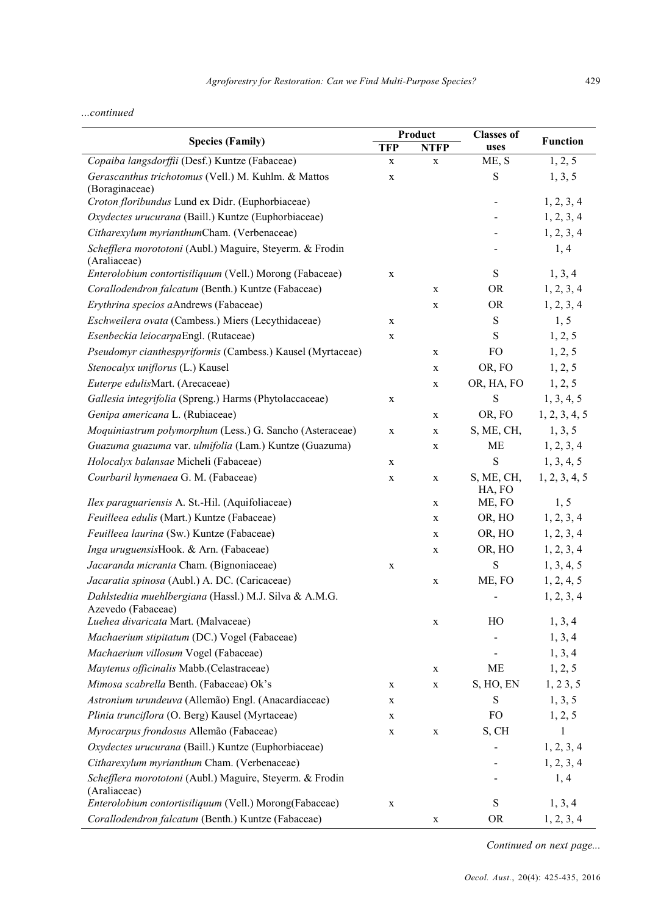# ...continued

| <b>Species (Family)</b>                                                      | Product     |             | <b>Classes of</b>        |                 |
|------------------------------------------------------------------------------|-------------|-------------|--------------------------|-----------------|
|                                                                              | <b>TFP</b>  | <b>NTFP</b> | uses                     | <b>Function</b> |
| Copaiba langsdorffii (Desf.) Kuntze (Fabaceae)                               | X           | X           | ME, S                    | 1, 2, 5         |
| Gerascanthus trichotomus (Vell.) M. Kuhlm. & Mattos<br>(Boraginaceae)        | $\mathbf X$ |             | ${\bf S}$                | 1, 3, 5         |
| Croton floribundus Lund ex Didr. (Euphorbiaceae)                             |             |             | $\overline{\phantom{0}}$ | 1, 2, 3, 4      |
| Oxydectes urucurana (Baill.) Kuntze (Euphorbiaceae)                          |             |             |                          | 1, 2, 3, 4      |
| Citharexylum myrianthumCham. (Verbenaceae)                                   |             |             |                          | 1, 2, 3, 4      |
| Schefflera morototoni (Aubl.) Maguire, Steyerm. & Frodin<br>(Araliaceae)     |             |             |                          | 1, 4            |
| Enterolobium contortisiliquum (Vell.) Morong (Fabaceae)                      | X           |             | $\mathbf S$              | 1, 3, 4         |
| Corallodendron falcatum (Benth.) Kuntze (Fabaceae)                           |             | $\mathbf X$ | <b>OR</b>                | 1, 2, 3, 4      |
| Erythrina specios aAndrews (Fabaceae)                                        |             | $\mathbf X$ | OR                       | 1, 2, 3, 4      |
| Eschweilera ovata (Cambess.) Miers (Lecythidaceae)                           | $\mathbf X$ |             | ${\bf S}$                | 1, 5            |
| Esenbeckia leiocarpaEngl. (Rutaceae)                                         | $\mathbf X$ |             | $\mathbf S$              | 1, 2, 5         |
| Pseudomyr cianthespyriformis (Cambess.) Kausel (Myrtaceae)                   |             | $\mathbf X$ | FO                       | 1, 2, 5         |
| Stenocalyx uniflorus (L.) Kausel                                             |             | $\mathbf X$ | OR, FO                   | 1, 2, 5         |
| Euterpe edulisMart. (Arecaceae)                                              |             | $\mathbf X$ | OR, HA, FO               | 1, 2, 5         |
| Gallesia integrifolia (Spreng.) Harms (Phytolaccaceae)                       | $\mathbf X$ |             | $\mathbf S$              | 1, 3, 4, 5      |
| Genipa americana L. (Rubiaceae)                                              |             | $\mathbf X$ | OR, FO                   | 1, 2, 3, 4, 5   |
| Moquiniastrum polymorphum (Less.) G. Sancho (Asteraceae)                     | X           | $\mathbf X$ | S, ME, CH,               | 1, 3, 5         |
| Guazuma guazuma var. ulmifolia (Lam.) Kuntze (Guazuma)                       |             | $\mathbf X$ | ME                       | 1, 2, 3, 4      |
| Holocalyx balansae Micheli (Fabaceae)                                        | X           |             | S                        | 1, 3, 4, 5      |
| Courbaril hymenaea G. M. (Fabaceae)                                          | $\mathbf X$ | $\mathbf X$ | S, ME, CH,<br>HA, FO     | 1, 2, 3, 4, 5   |
| Ilex paraguariensis A. St.-Hil. (Aquifoliaceae)                              |             | $\mathbf X$ | ME, FO                   | 1, 5            |
| Feuilleea edulis (Mart.) Kuntze (Fabaceae)                                   |             | $\mathbf X$ | OR, HO                   | 1, 2, 3, 4      |
| Feuilleea laurina (Sw.) Kuntze (Fabaceae)                                    |             | $\mathbf X$ | OR, HO                   | 1, 2, 3, 4      |
| Inga uruguensisHook. & Arn. (Fabaceae)                                       |             | $\mathbf X$ | OR, HO                   | 1, 2, 3, 4      |
| Jacaranda micranta Cham. (Bignoniaceae)                                      | $\mathbf X$ |             | ${\bf S}$                | 1, 3, 4, 5      |
| Jacaratia spinosa (Aubl.) A. DC. (Caricaceae)                                |             | $\mathbf X$ | ME, FO                   | 1, 2, 4, 5      |
| Dahlstedtia muehlbergiana (Hassl.) M.J. Silva & A.M.G.<br>Azevedo (Fabaceae) |             |             |                          | 1, 2, 3, 4      |
| Luehea divaricata Mart. (Malvaceae)                                          |             | $\mathbf X$ | HO                       | 1, 3, 4         |
| Machaerium stipitatum (DC.) Vogel (Fabaceae)                                 |             |             |                          | 1, 3, 4         |
| Machaerium villosum Vogel (Fabaceae)                                         |             |             |                          | 1, 3, 4         |
| Maytenus officinalis Mabb.(Celastraceae)                                     |             | $\mathbf X$ | ME                       | 1, 2, 5         |
| Mimosa scabrella Benth. (Fabaceae) Ok's                                      | X           | $\mathbf X$ | S, HO, EN                | 1, 23, 5        |
| Astronium urundeuva (Allemão) Engl. (Anacardiaceae)                          | X           |             | ${\bf S}$                | 1, 3, 5         |
| Plinia trunciflora (O. Berg) Kausel (Myrtaceae)                              | X           |             | FO                       | 1, 2, 5         |
| Myrocarpus frondosus Allemão (Fabaceae)                                      | X           | $\mathbf X$ | S, CH                    | $\mathbf{1}$    |
| Oxydectes urucurana (Baill.) Kuntze (Euphorbiaceae)                          |             |             | $\overline{\phantom{a}}$ | 1, 2, 3, 4      |
| Citharexylum myrianthum Cham. (Verbenaceae)                                  |             |             | $\overline{\phantom{0}}$ | 1, 2, 3, 4      |
| Schefflera morototoni (Aubl.) Maguire, Steyerm. & Frodin<br>(Araliaceae)     |             |             |                          | 1, 4            |
| Enterolobium contortisiliquum (Vell.) Morong(Fabaceae)                       | X           |             | ${\bf S}$                | 1, 3, 4         |
| Corallodendron falcatum (Benth.) Kuntze (Fabaceae)                           |             | X           | <b>OR</b>                | 1, 2, 3, 4      |

Continued on next page...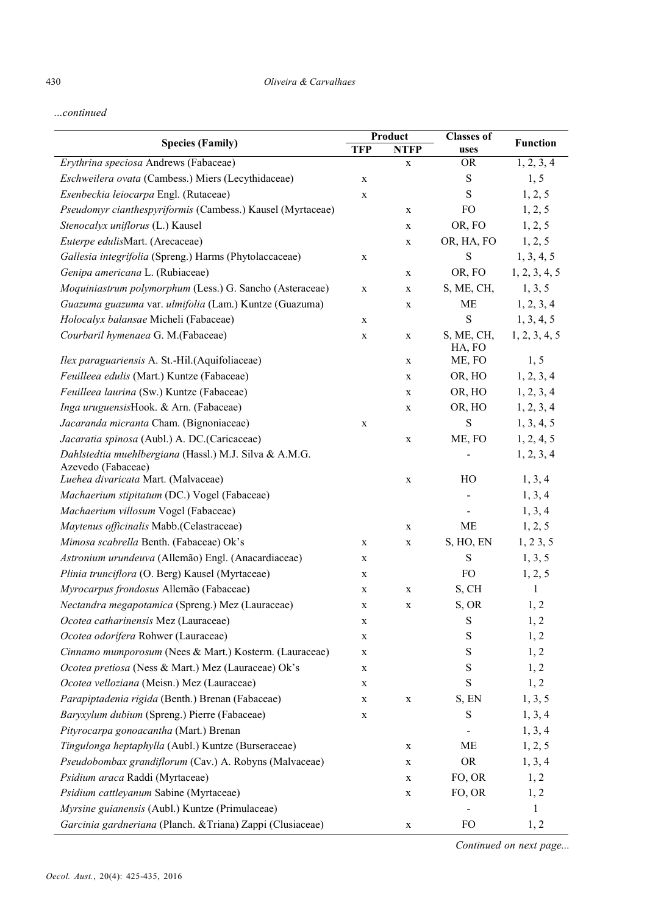...continued

| <b>Species (Family)</b>                                                      | Product     |             | <b>Classes of</b>    | <b>Function</b> |
|------------------------------------------------------------------------------|-------------|-------------|----------------------|-----------------|
|                                                                              | <b>TFP</b>  | <b>NTFP</b> | uses                 |                 |
| Erythrina speciosa Andrews (Fabaceae)                                        |             | $\mathbf X$ | <b>OR</b>            | 1, 2, 3, 4      |
| Eschweilera ovata (Cambess.) Miers (Lecythidaceae)                           | $\mathbf X$ |             | ${\bf S}$            | 1, 5            |
| Esenbeckia leiocarpa Engl. (Rutaceae)                                        | $\mathbf X$ |             | S                    | 1, 2, 5         |
| Pseudomyr cianthespyriformis (Cambess.) Kausel (Myrtaceae)                   |             | $\mathbf X$ | <b>FO</b>            | 1, 2, 5         |
| Stenocalyx uniflorus (L.) Kausel                                             |             | $\mathbf X$ | OR, FO               | 1, 2, 5         |
| Euterpe edulisMart. (Arecaceae)                                              |             | $\mathbf X$ | OR, HA, FO           | 1, 2, 5         |
| Gallesia integrifolia (Spreng.) Harms (Phytolaccaceae)                       | $\mathbf X$ |             | $\mathbf S$          | 1, 3, 4, 5      |
| Genipa americana L. (Rubiaceae)                                              |             | $\mathbf X$ | OR, FO               | 1, 2, 3, 4, 5   |
| Moquiniastrum polymorphum (Less.) G. Sancho (Asteraceae)                     | $\mathbf X$ | X           | S, ME, CH,           | 1, 3, 5         |
| Guazuma guazuma var. ulmifolia (Lam.) Kuntze (Guazuma)                       |             | $\mathbf X$ | <b>ME</b>            | 1, 2, 3, 4      |
| Holocalyx balansae Micheli (Fabaceae)                                        | $\mathbf X$ |             | S                    | 1, 3, 4, 5      |
| Courbaril hymenaea G. M.(Fabaceae)                                           | $\mathbf X$ | X           | S, ME, CH,<br>HA, FO | 1, 2, 3, 4, 5   |
| Ilex paraguariensis A. St.-Hil. (Aquifoliaceae)                              |             | X           | ME, FO               | 1, 5            |
| Feuilleea edulis (Mart.) Kuntze (Fabaceae)                                   |             | $\mathbf X$ | OR, HO               | 1, 2, 3, 4      |
| Feuilleea laurina (Sw.) Kuntze (Fabaceae)                                    |             | X           | OR, HO               | 1, 2, 3, 4      |
| Inga uruguensisHook. & Arn. (Fabaceae)                                       |             | $\mathbf X$ | OR, HO               | 1, 2, 3, 4      |
| Jacaranda micranta Cham. (Bignoniaceae)                                      | $\mathbf X$ |             | ${\bf S}$            | 1, 3, 4, 5      |
| Jacaratia spinosa (Aubl.) A. DC.(Caricaceae)                                 |             | X           | ME, FO               | 1, 2, 4, 5      |
| Dahlstedtia muehlbergiana (Hassl.) M.J. Silva & A.M.G.<br>Azevedo (Fabaceae) |             |             |                      | 1, 2, 3, 4      |
| Luehea divaricata Mart. (Malvaceae)                                          |             | $\mathbf X$ | HO                   | 1, 3, 4         |
| Machaerium stipitatum (DC.) Vogel (Fabaceae)                                 |             |             |                      | 1, 3, 4         |
| Machaerium villosum Vogel (Fabaceae)                                         |             |             |                      | 1, 3, 4         |
| Maytenus officinalis Mabb.(Celastraceae)                                     |             | X           | <b>ME</b>            | 1, 2, 5         |
| Mimosa scabrella Benth. (Fabaceae) Ok's                                      | $\mathbf X$ | $\mathbf X$ | S, HO, EN            | 1, 23, 5        |
| Astronium urundeuva (Allemão) Engl. (Anacardiaceae)                          | X           |             | ${\bf S}$            | 1, 3, 5         |
| Plinia trunciflora (O. Berg) Kausel (Myrtaceae)                              | X           |             | <b>FO</b>            | 1, 2, 5         |
| Myrocarpus frondosus Allemão (Fabaceae)                                      | $\mathbf X$ | $\mathbf X$ | S, CH                | 1               |
| Nectandra megapotamica (Spreng.) Mez (Lauraceae)                             | X           | $\mathbf X$ | S, OR                | 1, 2            |
| Ocotea catharinensis Mez (Lauraceae)                                         | X           |             | $\mathbf S$          | 1, 2            |
| Ocotea odorífera Rohwer (Lauraceae)                                          | $\mathbf X$ |             | $\mathbf S$          | 1, 2            |
| Cinnamo mumporosum (Nees & Mart.) Kosterm. (Lauraceae)                       | X           |             | S                    | 1, 2            |
| Ocotea pretiosa (Ness & Mart.) Mez (Lauraceae) Ok's                          | X           |             | S                    | 1, 2            |
| Ocotea velloziana (Meisn.) Mez (Lauraceae)                                   | X           |             | $\mathbf S$          | 1, 2            |
| Parapiptadenia rigida (Benth.) Brenan (Fabaceae)                             | X           | $\mathbf X$ | S, EN                | 1, 3, 5         |
| Baryxylum dubium (Spreng.) Pierre (Fabaceae)                                 | X           |             | $\mathbf S$          | 1, 3, 4         |
| Pityrocarpa gonoacantha (Mart.) Brenan                                       |             |             |                      | 1, 3, 4         |
| Tingulonga heptaphylla (Aubl.) Kuntze (Burseraceae)                          |             | X           | ME                   | 1, 2, 5         |
| Pseudobombax grandiflorum (Cav.) A. Robyns (Malvaceae)                       |             | X           | <b>OR</b>            | 1, 3, 4         |
| Psidium araca Raddi (Myrtaceae)                                              |             | X           | FO, OR               | 1, 2            |
| Psidium cattleyanum Sabine (Myrtaceae)                                       |             | X           | FO, OR               | 1, 2            |
| Myrsine guianensis (Aubl.) Kuntze (Primulaceae)                              |             |             |                      | 1               |
| Garcinia gardneriana (Planch. & Triana) Zappi (Clusiaceae)                   |             | X           | <b>FO</b>            | 1, 2            |

Continued on next page...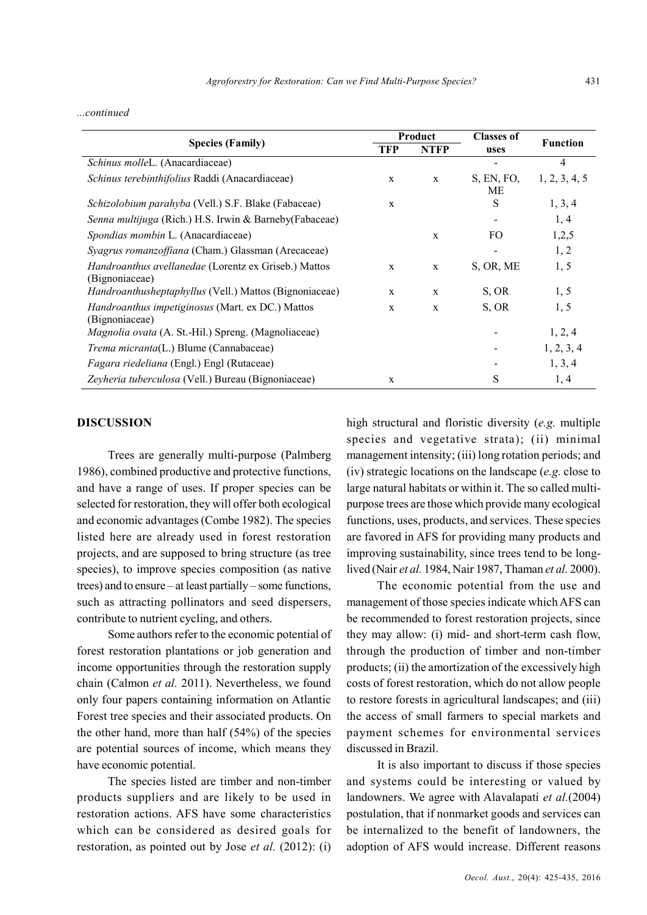### ...continued

| <b>Species (Family)</b>                                                   | Product      |              | <b>Classes of</b> | <b>Function</b> |
|---------------------------------------------------------------------------|--------------|--------------|-------------------|-----------------|
|                                                                           | TFP          | <b>NTFP</b>  | uses              |                 |
| Schinus molleL. (Anacardiaceae)                                           |              |              |                   | 4               |
| Schinus terebinthifolius Raddi (Anacardiaceae)                            | $\mathbf{x}$ | $\mathbf{x}$ | S, EN, FO,<br>MЕ  | 1, 2, 3, 4, 5   |
| Schizolobium parahyba (Vell.) S.F. Blake (Fabaceae)                       | $\mathbf{x}$ |              | S                 | 1, 3, 4         |
| Senna multijuga (Rich.) H.S. Irwin & Barneby (Fabaceae)                   |              |              |                   | 1, 4            |
| Spondias mombin L. (Anacardiaceae)                                        |              | $\mathbf{x}$ | FO.               | 1,2,5           |
| Syagrus romanzoffiana (Cham.) Glassman (Arecaceae)                        |              |              |                   | 1, 2            |
| Handroanthus avellanedae (Lorentz ex Griseb.) Mattos<br>(Bignoniaceae)    | X            | $\mathbf{x}$ | S, OR, ME         | 1, 5            |
| Handroanthusheptaphyllus (Vell.) Mattos (Bignoniaceae)                    | $\mathbf{x}$ | $\mathbf{x}$ | S, OR             | 1, 5            |
| <i>Handroanthus impetiginosus</i> (Mart. ex DC.) Mattos<br>(Bignoniaceae) | X            | $\mathbf{x}$ | S, OR             | 1, 5            |
| <i>Magnolia ovata</i> (A. St.-Hil.) Spreng. (Magnoliaceae)                |              |              |                   | 1, 2, 4         |
| <i>Trema micranta</i> (L.) Blume (Cannabaceae)                            |              |              |                   | 1, 2, 3, 4      |
| Fagara riedeliana (Engl.) Engl (Rutaceae)                                 |              |              |                   | 1, 3, 4         |
| Zeyheria tuberculosa (Vell.) Bureau (Bignoniaceae)                        | $\mathbf{x}$ |              | S                 | 1, 4            |

### DISCUSSION

Trees are generally multi-purpose (Palmberg 1986), combined productive and protective functions, and have a range of uses. If proper species can be selected for restoration, they will offer both ecological and economic advantages (Combe 1982). The species listed here are already used in forest restoration projects, and are supposed to bring structure (as tree species), to improve species composition (as native trees) and to ensure – at least partially – some functions, such as attracting pollinators and seed dispersers, contribute to nutrient cycling, and others.

Some authors refer to the economic potential of forest restoration plantations or job generation and income opportunities through the restoration supply chain (Calmon et al. 2011). Nevertheless, we found only four papers containing information on Atlantic Forest tree species and their associated products. On the other hand, more than half (54%) of the species are potential sources of income, which means they have economic potential.

The species listed are timber and non-timber products suppliers and are likely to be used in restoration actions. AFS have some characteristics which can be considered as desired goals for restoration, as pointed out by Jose et al. (2012): (i)

high structural and floristic diversity (e.g. multiple species and vegetative strata); (ii) minimal management intensity; (iii) long rotation periods; and (iv) strategic locations on the landscape  $(e.g.$  close to large natural habitats or within it. The so called multipurpose trees are those which provide many ecological functions, uses, products, and services. These species are favored in AFS for providing many products and improving sustainability, since trees tend to be longlived (Nair et al. 1984, Nair 1987, Thaman et al. 2000).

The economic potential from the use and management of those species indicate which AFS can be recommended to forest restoration projects, since they may allow: (i) mid- and short-term cash flow, through the production of timber and non-timber products; (ii) the amortization of the excessively high costs of forest restoration, which do not allow people to restore forests in agricultural landscapes; and (iii) the access of small farmers to special markets and payment schemes for environmental services discussed in Brazil.

It is also important to discuss if those species and systems could be interesting or valued by landowners. We agree with Alavalapati et al.(2004) postulation, that if nonmarket goods and services can be internalized to the benefit of landowners, the adoption of AFS would increase. Different reasons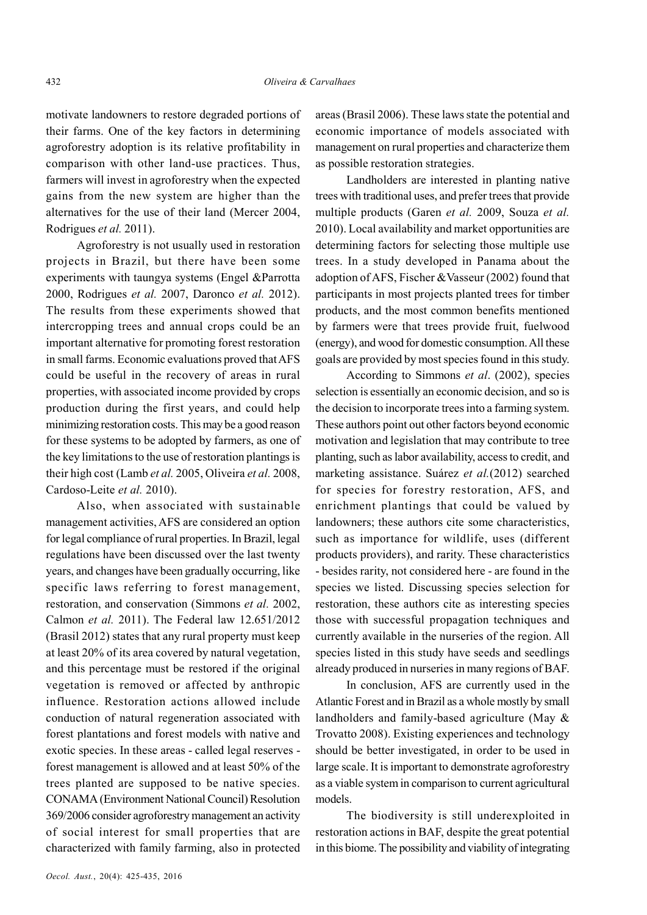motivate landowners to restore degraded portions of their farms. One of the key factors in determining agroforestry adoption is its relative profitability in comparison with other land-use practices. Thus, farmers will invest in agroforestry when the expected gains from the new system are higher than the alternatives for the use of their land (Mercer 2004, Rodrigues et al. 2011).

Agroforestry is not usually used in restoration projects in Brazil, but there have been some experiments with taungya systems (Engel &Parrotta 2000, Rodrigues et al. 2007, Daronco et al. 2012). The results from these experiments showed that intercropping trees and annual crops could be an important alternative for promoting forest restoration in small farms. Economic evaluations proved that AFS could be useful in the recovery of areas in rural properties, with associated income provided by crops production during the first years, and could help minimizing restoration costs. This may be a good reason for these systems to be adopted by farmers, as one of the key limitations to the use of restoration plantings is their high cost (Lamb et al. 2005, Oliveira et al. 2008, Cardoso-Leite et al. 2010).

Also, when associated with sustainable management activities, AFS are considered an option for legal compliance of rural properties. In Brazil, legal regulations have been discussed over the last twenty years, and changes have been gradually occurring, like specific laws referring to forest management, restoration, and conservation (Simmons et al. 2002, Calmon et al. 2011). The Federal law 12.651/2012 (Brasil 2012) states that any rural property must keep at least 20% of its area covered by natural vegetation, and this percentage must be restored if the original vegetation is removed or affected by anthropic influence. Restoration actions allowed include conduction of natural regeneration associated with forest plantations and forest models with native and exotic species. In these areas - called legal reserves forest management is allowed and at least 50% of the trees planted are supposed to be native species. CONAMA (Environment National Council) Resolution 369/2006 consider agroforestry management an activity of social interest for small properties that are characterized with family farming, also in protected areas (Brasil 2006). These laws state the potential and economic importance of models associated with management on rural properties and characterize them as possible restoration strategies.

Landholders are interested in planting native trees with traditional uses, and prefer trees that provide multiple products (Garen et al. 2009, Souza et al. 2010). Local availability and market opportunities are determining factors for selecting those multiple use trees. In a study developed in Panama about the adoption of AFS, Fischer &Vasseur (2002) found that participants in most projects planted trees for timber products, and the most common benefits mentioned by farmers were that trees provide fruit, fuelwood (energy), and wood for domestic consumption. All these goals are provided by most species found in this study.

According to Simmons et al. (2002), species selection is essentially an economic decision, and so is the decision to incorporate trees into a farming system. These authors point out other factors beyond economic motivation and legislation that may contribute to tree planting, such as labor availability, access to credit, and marketing assistance. Suárez et al.(2012) searched for species for forestry restoration, AFS, and enrichment plantings that could be valued by landowners; these authors cite some characteristics, such as importance for wildlife, uses (different products providers), and rarity. These characteristics - besides rarity, not considered here - are found in the species we listed. Discussing species selection for restoration, these authors cite as interesting species those with successful propagation techniques and currently available in the nurseries of the region. All species listed in this study have seeds and seedlings already produced in nurseries in many regions of BAF.

In conclusion, AFS are currently used in the Atlantic Forest and in Brazil as a whole mostly by small landholders and family-based agriculture (May & Trovatto 2008). Existing experiences and technology should be better investigated, in order to be used in large scale. It is important to demonstrate agroforestry as a viable system in comparison to current agricultural models.

The biodiversity is still underexploited in restoration actions in BAF, despite the great potential in this biome. The possibility and viability of integrating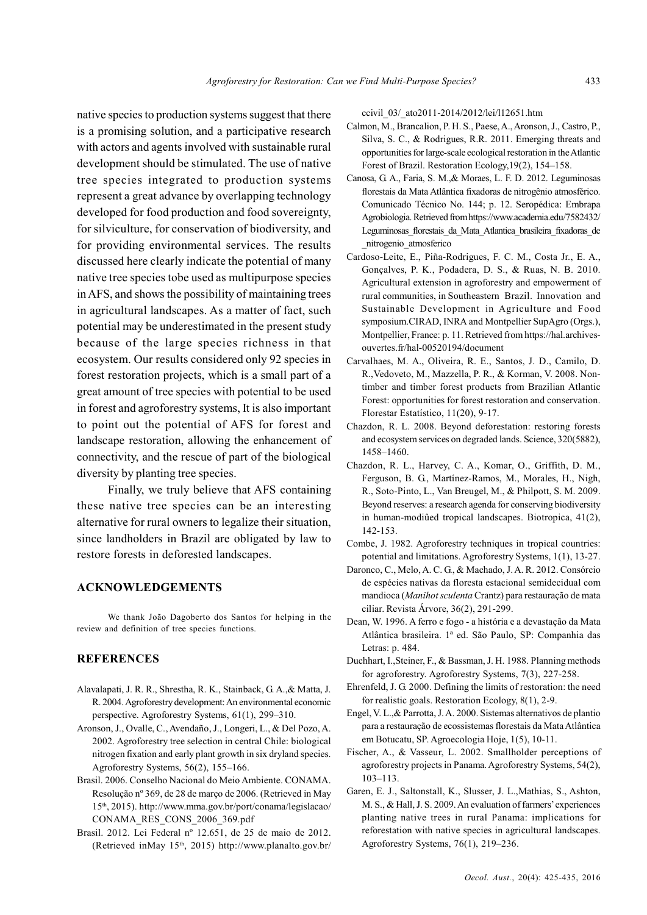native species to production systems suggest that there is a promising solution, and a participative research with actors and agents involved with sustainable rural development should be stimulated. The use of native tree species integrated to production systems represent a great advance by overlapping technology developed for food production and food sovereignty, for silviculture, for conservation of biodiversity, and for providing environmental services. The results discussed here clearly indicate the potential of many native tree species tobe used as multipurpose species in AFS, and shows the possibility of maintaining trees in agricultural landscapes. As a matter of fact, such potential may be underestimated in the present study because of the large species richness in that ecosystem. Our results considered only 92 species in forest restoration projects, which is a small part of a great amount of tree species with potential to be used in forest and agroforestry systems, It is also important to point out the potential of AFS for forest and landscape restoration, allowing the enhancement of connectivity, and the rescue of part of the biological diversity by planting tree species.

Finally, we truly believe that AFS containing these native tree species can be an interesting alternative for rural owners to legalize their situation, since landholders in Brazil are obligated by law to restore forests in deforested landscapes.

# ACKNOWLEDGEMENTS

We thank João Dagoberto dos Santos for helping in the review and definition of tree species functions.

### **REFERENCES**

- Alavalapati, J. R. R., Shrestha, R. K., Stainback, G. A.,& Matta, J. R. 2004. Agroforestry development: An environmental economic perspective. Agroforestry Systems, 61(1), 299–310.
- Aronson, J., Ovalle, C., Avendaño, J., Longeri, L., & Del Pozo, A. 2002. Agroforestry tree selection in central Chile: biological nitrogen fixation and early plant growth in six dryland species. Agroforestry Systems, 56(2), 155–166.
- Brasil. 2006. Conselho Nacional do Meio Ambiente. CONAMA. Resolução nº 369, de 28 de março de 2006. (Retrieved in May 15th, 2015). http://www.mma.gov.br/port/conama/legislacao/ CONAMA\_RES\_CONS\_2006\_369.pdf
- Brasil. 2012. Lei Federal nº 12.651, de 25 de maio de 2012. (Retrieved inMay 15<sup>th</sup>, 2015) http://www.planalto.gov.br/

ccivil\_03/\_ato2011-2014/2012/lei/l12651.htm

- Calmon, M., Brancalion, P. H. S., Paese, A., Aronson, J., Castro, P., Silva, S. C., & Rodrigues, R.R. 2011. Emerging threats and opportunities for large-scale ecological restoration in the Atlantic Forest of Brazil. Restoration Ecology,19(2), 154–158.
- Canosa, G. A., Faria, S. M.,& Moraes, L. F. D. 2012. Leguminosas florestais da Mata Atlântica fixadoras de nitrogênio atmosférico. Comunicado Técnico No. 144; p. 12. Seropédica: Embrapa Agrobiologia. Retrieved from https://www.academia.edu/7582432/ Leguminosas florestais da Mata Atlantica brasileira fixadoras de \_nitrogenio\_atmosferico
- Cardoso-Leite, E., Piña-Rodrigues, F. C. M., Costa Jr., E. A., Gonçalves, P. K., Podadera, D. S., & Ruas, N. B. 2010. Agricultural extension in agroforestry and empowerment of rural communities, in Southeastern Brazil. Innovation and Sustainable Development in Agriculture and Food symposium.CIRAD, INRA and Montpellier SupAgro (Orgs.), Montpellier, France: p. 11. Retrieved from https://hal.archivesouvertes.fr/hal-00520194/document
- Carvalhaes, M. A., Oliveira, R. E., Santos, J. D., Camilo, D. R.,Vedoveto, M., Mazzella, P. R., & Korman, V. 2008. Nontimber and timber forest products from Brazilian Atlantic Forest: opportunities for forest restoration and conservation. Florestar Estatístico, 11(20), 9-17.
- Chazdon, R. L. 2008. Beyond deforestation: restoring forests and ecosystem services on degraded lands. Science, 320(5882), 1458–1460.
- Chazdon, R. L., Harvey, C. A., Komar, O., Griffith, D. M., Ferguson, B. G., Martínez-Ramos, M., Morales, H., Nigh, R., Soto-Pinto, L., Van Breugel, M., & Philpott, S. M. 2009. Beyond reserves: a research agenda for conserving biodiversity in human-modiûed tropical landscapes. Biotropica, 41(2), 142-153.
- Combe, J. 1982. Agroforestry techniques in tropical countries: potential and limitations. Agroforestry Systems, 1(1), 13-27.
- Daronco, C., Melo, A. C. G., & Machado, J. A. R. 2012. Consórcio de espécies nativas da floresta estacional semidecidual com mandioca (Manihot sculenta Crantz) para restauração de mata ciliar. Revista Árvore, 36(2), 291-299.
- Dean, W. 1996. A ferro e fogo a história e a devastação da Mata Atlântica brasileira. 1ª ed. São Paulo, SP: Companhia das Letras: p. 484.
- Duchhart, I.,Steiner, F., & Bassman, J. H. 1988. Planning methods for agroforestry. Agroforestry Systems, 7(3), 227-258.
- Ehrenfeld, J. G. 2000. Defining the limits of restoration: the need for realistic goals. Restoration Ecology, 8(1), 2-9.
- Engel, V. L.,& Parrotta, J. A. 2000. Sistemas alternativos de plantio para a restauração de ecossistemas florestais da Mata Atlântica em Botucatu, SP. Agroecologia Hoje, 1(5), 10-11.
- Fischer, A., & Vasseur, L. 2002. Smallholder perceptions of agroforestry projects in Panama. Agroforestry Systems, 54(2), 103–113.
- Garen, E. J., Saltonstall, K., Slusser, J. L.,Mathias, S., Ashton, M. S., & Hall, J. S. 2009. An evaluation of farmers' experiences planting native trees in rural Panama: implications for reforestation with native species in agricultural landscapes. Agroforestry Systems, 76(1), 219–236.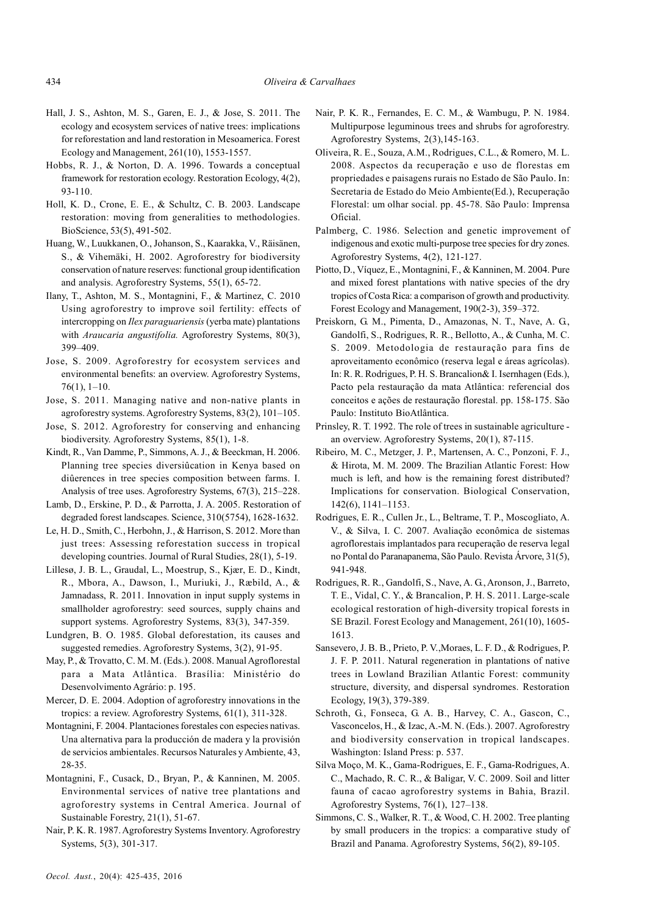- Hall, J. S., Ashton, M. S., Garen, E. J., & Jose, S. 2011. The ecology and ecosystem services of native trees: implications for reforestation and land restoration in Mesoamerica. Forest Ecology and Management, 261(10), 1553-1557.
- Hobbs, R. J., & Norton, D. A. 1996. Towards a conceptual framework for restoration ecology. Restoration Ecology, 4(2), 93-110.
- Holl, K. D., Crone, E. E., & Schultz, C. B. 2003. Landscape restoration: moving from generalities to methodologies. BioScience, 53(5), 491-502.
- Huang, W., Luukkanen, O., Johanson, S., Kaarakka, V., Räisänen, S., & Vihemäki, H. 2002. Agroforestry for biodiversity conservation of nature reserves: functional group identification and analysis. Agroforestry Systems, 55(1), 65-72.
- Ilany, T., Ashton, M. S., Montagnini, F., & Martinez, C. 2010 Using agroforestry to improve soil fertility: effects of intercropping on Ilex paraguariensis (yerba mate) plantations with Araucaria angustifolia. Agroforestry Systems, 80(3), 399–409.
- Jose, S. 2009. Agroforestry for ecosystem services and environmental benefits: an overview. Agroforestry Systems, 76(1), 1–10.
- Jose, S. 2011. Managing native and non-native plants in agroforestry systems. Agroforestry Systems, 83(2), 101–105.
- Jose, S. 2012. Agroforestry for conserving and enhancing biodiversity. Agroforestry Systems, 85(1), 1-8.
- Kindt, R., Van Damme, P., Simmons, A. J., & Beeckman, H. 2006. Planning tree species diversiûcation in Kenya based on diûerences in tree species composition between farms. I. Analysis of tree uses. Agroforestry Systems, 67(3), 215–228.
- Lamb, D., Erskine, P. D., & Parrotta, J. A. 2005. Restoration of degraded forest landscapes. Science, 310(5754), 1628-1632.
- Le, H. D., Smith, C., Herbohn, J., & Harrison, S. 2012. More than just trees: Assessing reforestation success in tropical developing countries. Journal of Rural Studies, 28(1), 5-19.
- Lillesø, J. B. L., Graudal, L., Moestrup, S., Kjær, E. D., Kindt, R., Mbora, A., Dawson, I., Muriuki, J., Ræbild, A., & Jamnadass, R. 2011. Innovation in input supply systems in smallholder agroforestry: seed sources, supply chains and support systems. Agroforestry Systems, 83(3), 347-359.
- Lundgren, B. O. 1985. Global deforestation, its causes and suggested remedies. Agroforestry Systems, 3(2), 91-95.
- May, P., & Trovatto, C. M. M. (Eds.). 2008. Manual Agroflorestal para a Mata Atlântica. Brasília: Ministério do Desenvolvimento Agrário: p. 195.
- Mercer, D. E. 2004. Adoption of agroforestry innovations in the tropics: a review. Agroforestry Systems, 61(1), 311-328.
- Montagnini, F. 2004. Plantaciones forestales con especies nativas. Una alternativa para la producción de madera y la provisión de servicios ambientales. Recursos Naturales y Ambiente, 43, 28-35.
- Montagnini, F., Cusack, D., Bryan, P., & Kanninen, M. 2005. Environmental services of native tree plantations and agroforestry systems in Central America. Journal of Sustainable Forestry, 21(1), 51-67.
- Nair, P. K. R. 1987. Agroforestry Systems Inventory. Agroforestry Systems, 5(3), 301-317.
- Nair, P. K. R., Fernandes, E. C. M., & Wambugu, P. N. 1984. Multipurpose leguminous trees and shrubs for agroforestry. Agroforestry Systems, 2(3),145-163.
- Oliveira, R. E., Souza, A.M., Rodrigues, C.L., & Romero, M. L. 2008. Aspectos da recuperação e uso de florestas em propriedades e paisagens rurais no Estado de São Paulo. In: Secretaria de Estado do Meio Ambiente(Ed.), Recuperação Florestal: um olhar social. pp. 45-78. São Paulo: Imprensa Oficial.
- Palmberg, C. 1986. Selection and genetic improvement of indigenous and exotic multi-purpose tree species for dry zones. Agroforestry Systems, 4(2), 121-127.
- Piotto, D., Víquez, E., Montagnini, F., & Kanninen, M. 2004. Pure and mixed forest plantations with native species of the dry tropics of Costa Rica: a comparison of growth and productivity. Forest Ecology and Management, 190(2-3), 359–372.
- Preiskorn, G. M., Pimenta, D., Amazonas, N. T., Nave, A. G., Gandolfi, S., Rodrigues, R. R., Bellotto, A., & Cunha, M. C. S. 2009. Metodologia de restauração para fins de aproveitamento econômico (reserva legal e áreas agrícolas). In: R. R. Rodrigues, P. H. S. Brancalion& I. Isernhagen (Eds.), Pacto pela restauração da mata Atlântica: referencial dos conceitos e ações de restauração florestal. pp. 158-175. São Paulo: Instituto BioAtlântica.
- Prinsley, R. T. 1992. The role of trees in sustainable agriculture an overview. Agroforestry Systems, 20(1), 87-115.
- Ribeiro, M. C., Metzger, J. P., Martensen, A. C., Ponzoni, F. J., & Hirota, M. M. 2009. The Brazilian Atlantic Forest: How much is left, and how is the remaining forest distributed? Implications for conservation. Biological Conservation, 142(6), 1141–1153.
- Rodrigues, E. R., Cullen Jr., L., Beltrame, T. P., Moscogliato, A. V., & Silva, I. C. 2007. Avaliação econômica de sistemas agroflorestais implantados para recuperação de reserva legal no Pontal do Paranapanema, São Paulo. Revista Árvore, 31(5), 941-948.
- Rodrigues, R. R., Gandolfi, S., Nave, A. G., Aronson, J., Barreto, T. E., Vidal, C. Y., & Brancalion, P. H. S. 2011. Large-scale ecological restoration of high-diversity tropical forests in SE Brazil. Forest Ecology and Management, 261(10), 1605- 1613.
- Sansevero, J. B. B., Prieto, P. V.,Moraes, L. F. D., & Rodrigues, P. J. F. P. 2011. Natural regeneration in plantations of native trees in Lowland Brazilian Atlantic Forest: community structure, diversity, and dispersal syndromes. Restoration Ecology, 19(3), 379-389.
- Schroth, G., Fonseca, G. A. B., Harvey, C. A., Gascon, C., Vasconcelos, H., & Izac, A.-M. N. (Eds.). 2007. Agroforestry and biodiversity conservation in tropical landscapes. Washington: Island Press: p. 537.
- Silva Moço, M. K., Gama-Rodrigues, E. F., Gama-Rodrigues, A. C., Machado, R. C. R., & Baligar, V. C. 2009. Soil and litter fauna of cacao agroforestry systems in Bahia, Brazil. Agroforestry Systems, 76(1), 127–138.
- Simmons, C. S., Walker, R. T., & Wood, C. H. 2002. Tree planting by small producers in the tropics: a comparative study of Brazil and Panama. Agroforestry Systems, 56(2), 89-105.